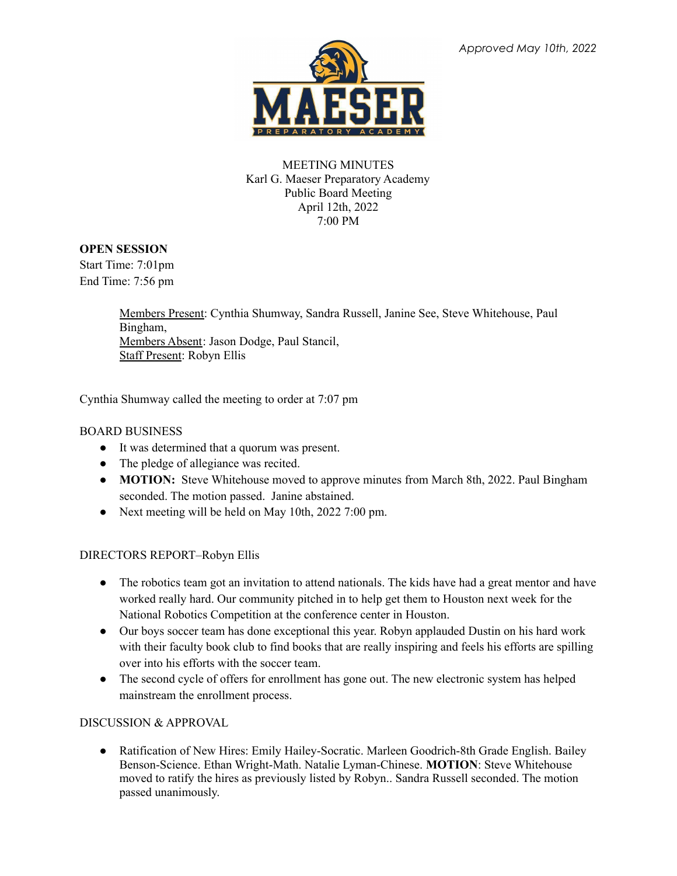

### MEETING MINUTES Karl G. Maeser Preparatory Academy Public Board Meeting April 12th, 2022 7:00 PM

# **OPEN SESSION**

Start Time: 7:01pm End Time: 7:56 pm

> Members Present: Cynthia Shumway, Sandra Russell, Janine See, Steve Whitehouse, Paul Bingham, Members Absent: Jason Dodge, Paul Stancil, Staff Present: Robyn Ellis

Cynthia Shumway called the meeting to order at 7:07 pm

# BOARD BUSINESS

- It was determined that a quorum was present.
- The pledge of allegiance was recited.
- **MOTION:** Steve Whitehouse moved to approve minutes from March 8th, 2022. Paul Bingham seconded. The motion passed. Janine abstained.
- Next meeting will be held on May 10th, 2022 7:00 pm.

### DIRECTORS REPORT–Robyn Ellis

- The robotics team got an invitation to attend nationals. The kids have had a great mentor and have worked really hard. Our community pitched in to help get them to Houston next week for the National Robotics Competition at the conference center in Houston.
- Our boys soccer team has done exceptional this year. Robyn applauded Dustin on his hard work with their faculty book club to find books that are really inspiring and feels his efforts are spilling over into his efforts with the soccer team.
- The second cycle of offers for enrollment has gone out. The new electronic system has helped mainstream the enrollment process.

### DISCUSSION & APPROVAL

• Ratification of New Hires: Emily Hailey-Socratic. Marleen Goodrich-8th Grade English. Bailey Benson-Science. Ethan Wright-Math. Natalie Lyman-Chinese. **MOTION**: Steve Whitehouse moved to ratify the hires as previously listed by Robyn.. Sandra Russell seconded. The motion passed unanimously.